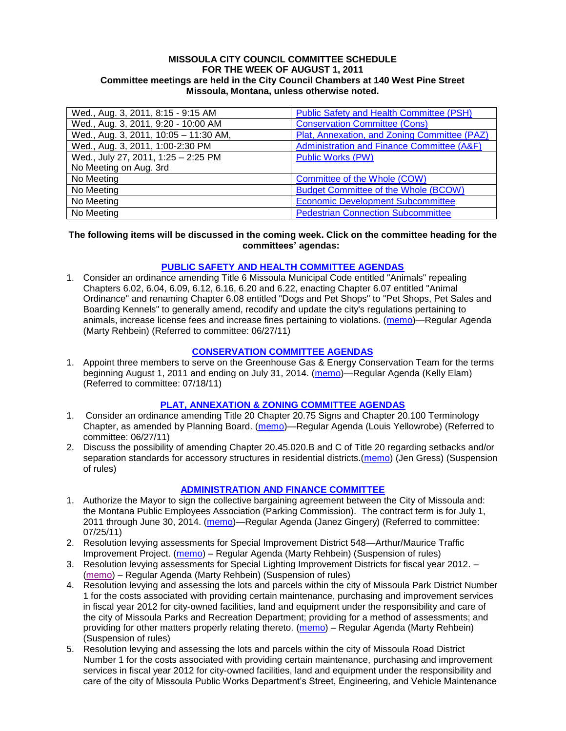#### **MISSOULA CITY COUNCIL COMMITTEE SCHEDULE FOR THE WEEK OF AUGUST 1, 2011 Committee meetings are held in the City Council Chambers at 140 West Pine Street Missoula, Montana, unless otherwise noted.**

| Wed., Aug. 3, 2011, 8:15 - 9:15 AM    | <b>Public Safety and Health Committee (PSH)</b> |
|---------------------------------------|-------------------------------------------------|
| Wed., Aug. 3, 2011, 9:20 - 10:00 AM   | <b>Conservation Committee (Cons)</b>            |
| Wed., Aug. 3, 2011, 10:05 - 11:30 AM, | Plat, Annexation, and Zoning Committee (PAZ)    |
| Wed., Aug. 3, 2011, 1:00-2:30 PM      | Administration and Finance Committee (A&F)      |
| Wed., July 27, 2011, 1:25 - 2:25 PM   | <b>Public Works (PW)</b>                        |
| No Meeting on Aug. 3rd                |                                                 |
| No Meeting                            | Committee of the Whole (COW)                    |
| No Meeting                            | <b>Budget Committee of the Whole (BCOW)</b>     |
| No Meeting                            | <b>Economic Development Subcommittee</b>        |
| No Meeting                            | <b>Pedestrian Connection Subcommittee</b>       |

### **The following items will be discussed in the coming week. Click on the committee heading for the committees' agendas:**

# **[PUBLIC SAFETY AND HEALTH COMMITTEE AGENDAS](http://www.ci.missoula.mt.us/DocumentCenterii.aspx?FID=836)**

1. Consider an ordinance amending Title 6 Missoula Municipal Code entitled "Animals" repealing Chapters 6.02, 6.04, 6.09, 6.12, 6.16, 6.20 and 6.22, enacting Chapter 6.07 entitled "Animal Ordinance" and renaming Chapter 6.08 entitled "Dogs and Pet Shops" to "Pet Shops, Pet Sales and Boarding Kennels" to generally amend, recodify and update the city's regulations pertaining to animals, increase license fees and increase fines pertaining to violations. [\(memo\)](http://www.ci.missoula.mt.us/DocumentView.aspx?DID=6698)—Regular Agenda (Marty Rehbein) (Referred to committee: 06/27/11)

# **[CONSERVATION COMMITTEE AGENDAS](http://www.ci.missoula.mt.us/DocumentCenterii.aspx?FID=832)**

1. Appoint three members to serve on the Greenhouse Gas & Energy Conservation Team for the terms beginning August 1, 2011 and ending on July 31, 2014. [\(memo\)](http://www.ci.missoula.mt.us/DocumentView.aspx?DID=6837)—Regular Agenda (Kelly Elam) (Referred to committee: 07/18/11)

# **[PLAT, ANNEXATION & ZONING COMMITTEE AGENDAS](http://www.ci.missoula.mt.us/DocumentCenterii.aspx?FID=831)**

- 1. Consider an ordinance amending Title 20 Chapter 20.75 Signs and Chapter 20.100 Terminology Chapter, as amended by Planning Board. [\(memo\)](http://www.ci.missoula.mt.us/DocumentView.aspx?DID=6725)—Regular Agenda (Louis Yellowrobe) (Referred to committee: 06/27/11)
- 2. Discuss the possibility of amending Chapter 20.45.020.B and C of Title 20 regarding setbacks and/or separation standards for accessory structures in residential districts.[\(memo\)](http://www.ci.missoula.mt.us/DocumentView.aspx?DID=6964) (Jen Gress) (Suspension of rules)

# **[ADMINISTRATION AND FINANCE COMMITTEE](http://www.ci.missoula.mt.us/DocumentCenterii.aspx?FID=830)**

- 1. Authorize the Mayor to sign the collective bargaining agreement between the City of Missoula and: the Montana Public Employees Association (Parking Commission). The contract term is for July 1, 2011 through June 30, 2014. [\(memo\)](http://www.ci.missoula.mt.us/DocumentView.aspx?DID=6920)—Regular Agenda (Janez Gingery) (Referred to committee: 07/25/11)
- 2. Resolution levying assessments for Special Improvement District 548—Arthur/Maurice Traffic Improvement Project. [\(memo\)](http://www.ci.missoula.mt.us/DocumentView.aspx?DID=6931) – Regular Agenda (Marty Rehbein) (Suspension of rules)
- 3. Resolution levying assessments for Special Lighting Improvement Districts for fiscal year 2012. [\(memo\)](http://www.ci.missoula.mt.us/DocumentView.aspx?DID=6954) – Regular Agenda (Marty Rehbein) (Suspension of rules)
- 4. Resolution levying and assessing the lots and parcels within the city of Missoula Park District Number 1 for the costs associated with providing certain maintenance, purchasing and improvement services in fiscal year 2012 for city-owned facilities, land and equipment under the responsibility and care of the city of Missoula Parks and Recreation Department; providing for a method of assessments; and providing for other matters properly relating thereto. [\(memo\)](http://www.ci.missoula.mt.us/DocumentView.aspx?DID=6965) – Regular Agenda (Marty Rehbein) (Suspension of rules)
- 5. Resolution levying and assessing the lots and parcels within the city of Missoula Road District Number 1 for the costs associated with providing certain maintenance, purchasing and improvement services in fiscal year 2012 for city-owned facilities, land and equipment under the responsibility and care of the city of Missoula Public Works Department's Street, Engineering, and Vehicle Maintenance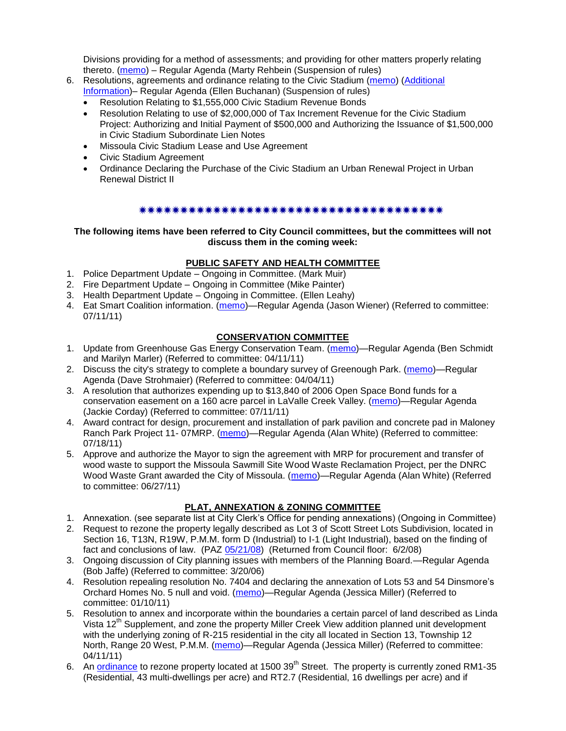Divisions providing for a method of assessments; and providing for other matters properly relating thereto. [\(memo\)](http://www.ci.missoula.mt.us/DocumentView.aspx?DID=6967) – Regular Agenda (Marty Rehbein (Suspension of rules)

- 6. Resolutions, agreements and ordinance relating to the Civic Stadium [\(memo\)](http://www.ci.missoula.mt.us/DocumentView.aspx?DID=6981) [\(Additional](http://www.ci.missoula.mt.us/DocumentView.aspx?DID=7001)  [Information\)](http://www.ci.missoula.mt.us/DocumentView.aspx?DID=7001)– Regular Agenda (Ellen Buchanan) (Suspension of rules)
	- Resolution Relating to \$1,555,000 Civic Stadium Revenue Bonds
	- Resolution Relating to use of \$2,000,000 of Tax Increment Revenue for the Civic Stadium Project: Authorizing and Initial Payment of \$500,000 and Authorizing the Issuance of \$1,500,000 in Civic Stadium Subordinate Lien Notes
	- Missoula Civic Stadium Lease and Use Agreement
	- Civic Stadium Agreement
	- Ordinance Declaring the Purchase of the Civic Stadium an Urban Renewal Project in Urban Renewal District II

# 

### **The following items have been referred to City Council committees, but the committees will not discuss them in the coming week:**

# **PUBLIC SAFETY AND HEALTH COMMITTEE**

- 1. Police Department Update Ongoing in Committee. (Mark Muir)
- 2. Fire Department Update Ongoing in Committee (Mike Painter)
- 3. Health Department Update Ongoing in Committee. (Ellen Leahy)
- 4. Eat Smart Coalition information. [\(memo\)](http://www.ci.missoula.mt.us/DocumentView.aspx?DID=6776)—Regular Agenda (Jason Wiener) (Referred to committee: 07/11/11)

# **CONSERVATION COMMITTEE**

- 1. Update from Greenhouse Gas Energy Conservation Team. [\(memo\)](http://www.ci.missoula.mt.us/DocumentView.aspx?DID=5945)—Regular Agenda (Ben Schmidt and Marilyn Marler) (Referred to committee: 04/11/11)
- 2. Discuss the city's strategy to complete a boundary survey of Greenough Park. [\(memo\)](http://www.ci.missoula.mt.us/DocumentView.aspx?DID=5875)—Regular Agenda (Dave Strohmaier) (Referred to committee: 04/04/11)
- 3. A resolution that authorizes expending up to \$13,840 of 2006 Open Space Bond funds for a conservation easement on a 160 acre parcel in LaValle Creek Valley. [\(memo\)](http://www.ci.missoula.mt.us/DocumentView.aspx?DID=6797)—Regular Agenda (Jackie Corday) (Referred to committee: 07/11/11)
- 4. Award contract for design, procurement and installation of park pavilion and concrete pad in Maloney Ranch Park Project 11- 07MRP. [\(memo\)](http://www.ci.missoula.mt.us/DocumentView.aspx?DID=6859)—Regular Agenda (Alan White) (Referred to committee: 07/18/11)
- 5. Approve and authorize the Mayor to sign the agreement with MRP for procurement and transfer of wood waste to support the Missoula Sawmill Site Wood Waste Reclamation Project, per the DNRC Wood Waste Grant awarded the City of Missoula. [\(memo\)](http://www.ci.missoula.mt.us/DocumentView.aspx?DID=6682)—Regular Agenda (Alan White) (Referred to committee: 06/27/11)

# **PLAT, ANNEXATION & ZONING COMMITTEE**

- 1. Annexation. (see separate list at City Clerk's Office for pending annexations) (Ongoing in Committee)
- 2. Request to rezone the property legally described as Lot 3 of Scott Street Lots Subdivision, located in Section 16, T13N, R19W, P.M.M. form D (Industrial) to I-1 (Light Industrial), based on the finding of fact and conclusions of law. (PAZ [05/21/08\)](ftp://ftp.ci.missoula.mt.us/Packets/Council/2008/2008-06-02/080521paz.pdf) (Returned from Council floor: 6/2/08)
- 3. Ongoing discussion of City planning issues with members of the Planning Board.—Regular Agenda (Bob Jaffe) (Referred to committee: 3/20/06)
- 4. Resolution repealing resolution No. 7404 and declaring the annexation of Lots 53 and 54 Dinsmore's Orchard Homes No. 5 null and void. [\(memo\)](http://www.ci.missoula.mt.us/DocumentView.aspx?DID=5349)—Regular Agenda (Jessica Miller) (Referred to committee: 01/10/11)
- 5. Resolution to annex and incorporate within the boundaries a certain parcel of land described as Linda Vista 12<sup>th</sup> Supplement, and zone the property Miller Creek View addition planned unit development with the underlying zoning of R-215 residential in the city all located in Section 13, Township 12 North, Range 20 West, P.M.M. [\(memo\)](http://www.ci.missoula.mt.us/DocumentView.aspx?DID=5992)—Regular Agenda (Jessica Miller) (Referred to committee: 04/11/11)
- 6. An [ordinance](http://www.ci.missoula.mt.us/DocumentView.aspx?DID=6463) to rezone property located at 1500 39<sup>th</sup> Street. The property is currently zoned RM1-35 (Residential, 43 multi-dwellings per acre) and RT2.7 (Residential, 16 dwellings per acre) and if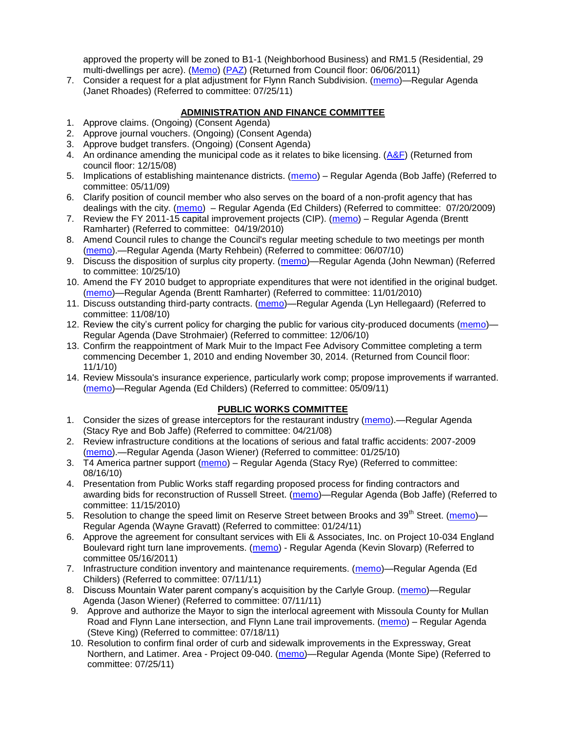approved the property will be zoned to B1-1 (Neighborhood Business) and RM1.5 (Residential, 29 multi-dwellings per acre). [\(Memo\)](http://www.ci.missoula.mt.us/DocumentView.aspx?DID=6469) [\(PAZ\)](http://www.ci.missoula.mt.us/Archive.aspx?ADID=4010) (Returned from Council floor: 06/06/2011)

7. Consider a request for a plat adjustment for Flynn Ranch Subdivision. [\(memo\)](http://www.ci.missoula.mt.us/DocumentView.aspx?DID=6919)—Regular Agenda (Janet Rhoades) (Referred to committee: 07/25/11)

# **ADMINISTRATION AND FINANCE COMMITTEE**

- 1. Approve claims. (Ongoing) (Consent Agenda)
- 2. Approve journal vouchers. (Ongoing) (Consent Agenda)
- 3. Approve budget transfers. (Ongoing) (Consent Agenda)
- 4. An ordinance amending the municipal code as it relates to bike licensing. [\(A&F\)](ftp://ftp.ci.missoula.mt.us/Packets/Council/2008/2008-12-15/081210af.pdf) (Returned from council floor: 12/15/08)
- 5. Implications of establishing maintenance districts. [\(memo\)](ftp://ftp.ci.missoula.mt.us/Packets/Council/2009/2009-05-11/Referrals/MaintenanceDistricts.pdf) Regular Agenda (Bob Jaffe) (Referred to committee: 05/11/09)
- 6. Clarify position of council member who also serves on the board of a non-profit agency that has dealings with the city. [\(memo\)](http://www.ci.missoula.mt.us/DocumentView.aspx?DID=1840) – Regular Agenda (Ed Childers) (Referred to committee: 07/20/2009)
- 7. Review the FY 2011-15 capital improvement projects (CIP). [\(memo\)](http://www.ci.missoula.mt.us/DocumentView.aspx?DID=3522) Regular Agenda (Brentt Ramharter) (Referred to committee: 04/19/2010)
- 8. Amend Council rules to change the Council's regular meeting schedule to two meetings per month [\(memo\)](http://www.ci.missoula.mt.us/DocumentView.aspx?DID=4027).—Regular Agenda (Marty Rehbein) (Referred to committee: 06/07/10)
- 9. Discuss the disposition of surplus city property. [\(memo\)](http://www.ci.missoula.mt.us/DocumentView.aspx?DID=4862)—Regular Agenda (John Newman) (Referred to committee: 10/25/10)
- 10. Amend the FY 2010 budget to appropriate expenditures that were not identified in the original budget. [\(memo\)](http://www.ci.missoula.mt.us/DocumentView.aspx?DID=4883)—Regular Agenda (Brentt Ramharter) (Referred to committee: 11/01/2010)
- 11. Discuss outstanding third-party contracts. [\(memo\)](http://www.ci.missoula.mt.us/DocumentView.aspx?DID=4956)—Regular Agenda (Lyn Hellegaard) (Referred to committee: 11/08/10)
- 12. Review the city's current policy for charging the public for various city-produced documents [\(memo\)](http://www.ci.missoula.mt.us/DocumentView.aspx?DID=5143) Regular Agenda (Dave Strohmaier) (Referred to committee: 12/06/10)
- 13. Confirm the reappointment of Mark Muir to the Impact Fee Advisory Committee completing a term commencing December 1, 2010 and ending November 30, 2014. (Returned from Council floor: 11/1/10)
- 14. Review Missoula's insurance experience, particularly work comp; propose improvements if warranted. [\(memo\)](http://www.ci.missoula.mt.us/DocumentView.aspx?DID=6381)—Regular Agenda (Ed Childers) (Referred to committee: 05/09/11)

# **PUBLIC WORKS COMMITTEE**

- 1. Consider the sizes of grease interceptors for the restaurant industry [\(memo\)](ftp://ftp.ci.missoula.mt.us/Packets/Council/2008/2008-04-21/Referrals/Industrial_waste_restaurants.pdf).—Regular Agenda (Stacy Rye and Bob Jaffe) (Referred to committee: 04/21/08)
- 2. Review infrastructure conditions at the locations of serious and fatal traffic accidents: 2007-2009 [\(memo\)](http://www.ci.missoula.mt.us/DocumentView.aspx?DID=3031).—Regular Agenda (Jason Wiener) (Referred to committee: 01/25/10)
- 3. T4 America partner support [\(memo\)](http://www.ci.missoula.mt.us/DocumentView.aspx?DID=4452) Regular Agenda (Stacy Rye) (Referred to committee: 08/16/10)
- 4. Presentation from Public Works staff regarding proposed process for finding contractors and awarding bids for reconstruction of Russell Street. [\(memo\)](http://www.ci.missoula.mt.us/DocumentView.aspx?DID=5042)—Regular Agenda (Bob Jaffe) (Referred to committee: 11/15/2010)
- 5. Resolution to change the speed limit on Reserve Street between Brooks and 39<sup>th</sup> Street. [\(memo\)](http://www.ci.missoula.mt.us/DocumentView.aspx?DID=5418)-Regular Agenda (Wayne Gravatt) (Referred to committee: 01/24/11)
- 6. Approve the agreement for consultant services with Eli & Associates, Inc. on Project 10-034 England Boulevard right turn lane improvements. [\(memo\)](http://www.ci.missoula.mt.us/DocumentView.aspx?DID=6419) - Regular Agenda (Kevin Slovarp) (Referred to committee 05/16/2011)
- 7. Infrastructure condition inventory and maintenance requirements. [\(memo\)](http://www.ci.missoula.mt.us/DocumentView.aspx?DID=6751)—Regular Agenda (Ed Childers) (Referred to committee: 07/11/11)
- 8. Discuss Mountain Water parent company's acquisition by the Carlyle Group. [\(memo\)](http://www.ci.missoula.mt.us/DocumentView.aspx?DID=6777)—Regular Agenda (Jason Wiener) (Referred to committee: 07/11/11)
- 9. Approve and authorize the Mayor to sign the interlocal agreement with Missoula County for Mullan Road and Flynn Lane intersection, and Flynn Lane trail improvements. [\(memo\)](http://www.ci.missoula.mt.us/DocumentView.aspx?DID=6857) – Regular Agenda (Steve King) (Referred to committee: 07/18/11)
- 10. Resolution to confirm final order of curb and sidewalk improvements in the Expressway, Great Northern, and Latimer. Area - Project 09-040. [\(memo\)](http://www.ci.missoula.mt.us/DocumentView.aspx?DID=6921)—Regular Agenda (Monte Sipe) (Referred to committee: 07/25/11)